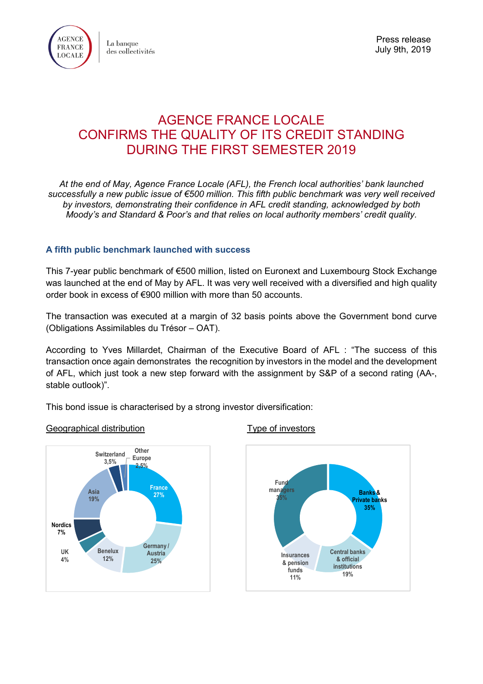

# AGENCE FRANCE LOCALE CONFIRMS THE QUALITY OF ITS CREDIT STANDING DURING THE FIRST SEMESTER 2019

*At the end of May, Agence France Locale (AFL), the French local authorities' bank launched successfully a new public issue of €500 million. This fifth public benchmark was very well received by investors, demonstrating their confidence in AFL credit standing, acknowledged by both Moody's and Standard & Poor's and that relies on local authority members' credit quality.*

## **A fifth public benchmark launched with success**

This 7-year public benchmark of €500 million, listed on Euronext and Luxembourg Stock Exchange was launched at the end of May by AFL. It was very well received with a diversified and high quality order book in excess of €900 million with more than 50 accounts.

The transaction was executed at a margin of 32 basis points above the Government bond curve (Obligations Assimilables du Trésor – OAT).

According to Yves Millardet, Chairman of the Executive Board of AFL : "The success of this transaction once again demonstrates the recognition by investors in the model and the development of AFL, which just took a new step forward with the assignment by S&P of a second rating (AA-, stable outlook)".

This bond issue is characterised by a strong investor diversification:

#### Geographical distribution Type of investors